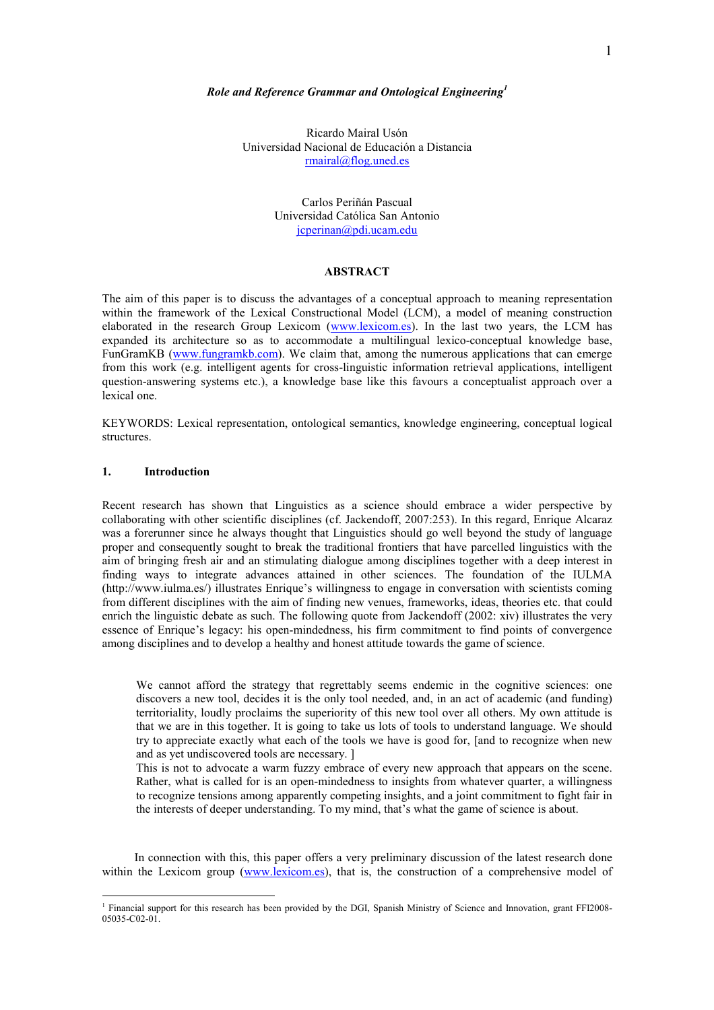### Role and Reference Grammar and Ontological Engineering<sup>1</sup>

Ricardo Mairal Usón Universidad Nacional de Educación a Distancia rmairal@flog.uned.es

> Carlos Periñán Pascual Universidad Católica San Antonio jcperinan@pdi.ucam.edu

# **ABSTRACT**

The aim of this paper is to discuss the advantages of a conceptual approach to meaning representation within the framework of the Lexical Constructional Model (LCM), a model of meaning construction elaborated in the research Group Lexicom (www.lexicom.es). In the last two years, the LCM has expanded its architecture so as to accommodate a multilingual lexico-conceptual knowledge base, FunGramKB (www.fungramkb.com). We claim that, among the numerous applications that can emerge from this work (e.g. intelligent agents for cross-linguistic information retrieval applications, intelligent question-answering systems etc.), a knowledge base like this favours a conceptualist approach over a lexical one.

KEYWORDS: Lexical representation, ontological semantics, knowledge engineering, conceptual logical structures.

# 1. Introduction

 $\overline{a}$ 

Recent research has shown that Linguistics as a science should embrace a wider perspective by collaborating with other scientific disciplines (cf. Jackendoff, 2007:253). In this regard, Enrique Alcaraz was a forerunner since he always thought that Linguistics should go well beyond the study of language proper and consequently sought to break the traditional frontiers that have parcelled linguistics with the aim of bringing fresh air and an stimulating dialogue among disciplines together with a deep interest in finding ways to integrate advances attained in other sciences. The foundation of the IULMA (http://www.iulma.es/) illustrates Enrique's willingness to engage in conversation with scientists coming from different disciplines with the aim of finding new venues, frameworks, ideas, theories etc. that could enrich the linguistic debate as such. The following quote from Jackendoff (2002: xiv) illustrates the very essence of Enrique's legacy: his open-mindedness, his firm commitment to find points of convergence among disciplines and to develop a healthy and honest attitude towards the game of science.

We cannot afford the strategy that regrettably seems endemic in the cognitive sciences: one discovers a new tool, decides it is the only tool needed, and, in an act of academic (and funding) territoriality, loudly proclaims the superiority of this new tool over all others. My own attitude is that we are in this together. It is going to take us lots of tools to understand language. We should try to appreciate exactly what each of the tools we have is good for, [and to recognize when new and as yet undiscovered tools are necessary. ]

This is not to advocate a warm fuzzy embrace of every new approach that appears on the scene. Rather, what is called for is an open-mindedness to insights from whatever quarter, a willingness to recognize tensions among apparently competing insights, and a joint commitment to fight fair in the interests of deeper understanding. To my mind, that's what the game of science is about.

In connection with this, this paper offers a very preliminary discussion of the latest research done within the Lexicom group (www.lexicom.es), that is, the construction of a comprehensive model of

<sup>&</sup>lt;sup>1</sup> Financial support for this research has been provided by the DGI, Spanish Ministry of Science and Innovation, grant FFI2008-05035-C02-01.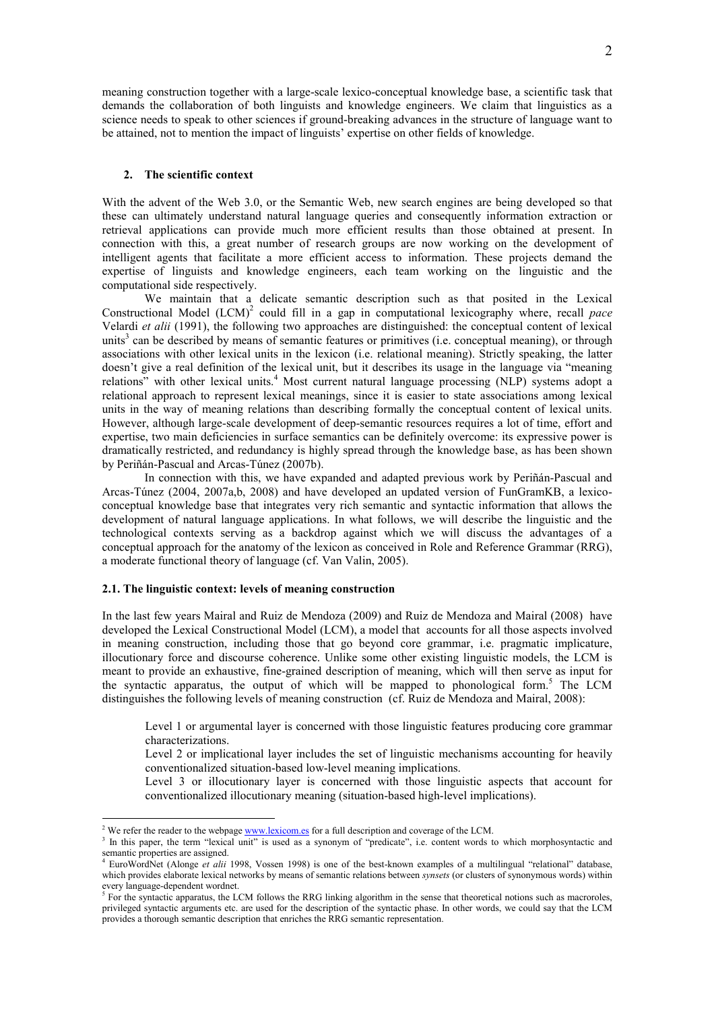meaning construction together with a large-scale lexico-conceptual knowledge base, a scientific task that demands the collaboration of both linguists and knowledge engineers. We claim that linguistics as a science needs to speak to other sciences if ground-breaking advances in the structure of language want to be attained, not to mention the impact of linguists' expertise on other fields of knowledge.

#### 2. The scientific context

With the advent of the Web 3.0, or the Semantic Web, new search engines are being developed so that these can ultimately understand natural language queries and consequently information extraction or retrieval applications can provide much more efficient results than those obtained at present. In connection with this, a great number of research groups are now working on the development of intelligent agents that facilitate a more efficient access to information. These projects demand the expertise of linguists and knowledge engineers, each team working on the linguistic and the computational side respectively.

We maintain that a delicate semantic description such as that posited in the Lexical Constructional Model  $(LCM)^2$  could fill in a gap in computational lexicography where, recall pace Velardi et alii (1991), the following two approaches are distinguished: the conceptual content of lexical units<sup>3</sup> can be described by means of semantic features or primitives (i.e. conceptual meaning), or through associations with other lexical units in the lexicon (i.e. relational meaning). Strictly speaking, the latter doesn't give a real definition of the lexical unit, but it describes its usage in the language via "meaning relations" with other lexical units.<sup>4</sup> Most current natural language processing (NLP) systems adopt a relational approach to represent lexical meanings, since it is easier to state associations among lexical units in the way of meaning relations than describing formally the conceptual content of lexical units. However, although large-scale development of deep-semantic resources requires a lot of time, effort and expertise, two main deficiencies in surface semantics can be definitely overcome: its expressive power is dramatically restricted, and redundancy is highly spread through the knowledge base, as has been shown by Periñán-Pascual and Arcas-Túnez (2007b).

In connection with this, we have expanded and adapted previous work by Periñán-Pascual and Arcas-Túnez (2004, 2007a,b, 2008) and have developed an updated version of FunGramKB, a lexicoconceptual knowledge base that integrates very rich semantic and syntactic information that allows the development of natural language applications. In what follows, we will describe the linguistic and the technological contexts serving as a backdrop against which we will discuss the advantages of a conceptual approach for the anatomy of the lexicon as conceived in Role and Reference Grammar (RRG), a moderate functional theory of language (cf. Van Valin, 2005).

### 2.1. The linguistic context: levels of meaning construction

 $\overline{a}$ 

In the last few years Mairal and Ruiz de Mendoza (2009) and Ruiz de Mendoza and Mairal (2008) have developed the Lexical Constructional Model (LCM), a model that accounts for all those aspects involved in meaning construction, including those that go beyond core grammar, i.e. pragmatic implicature, illocutionary force and discourse coherence. Unlike some other existing linguistic models, the LCM is meant to provide an exhaustive, fine-grained description of meaning, which will then serve as input for the syntactic apparatus, the output of which will be mapped to phonological form.<sup>5</sup> The LCM distinguishes the following levels of meaning construction (cf. Ruiz de Mendoza and Mairal, 2008):

Level 1 or argumental layer is concerned with those linguistic features producing core grammar characterizations.

Level 2 or implicational layer includes the set of linguistic mechanisms accounting for heavily conventionalized situation-based low-level meaning implications.

Level 3 or illocutionary layer is concerned with those linguistic aspects that account for conventionalized illocutionary meaning (situation-based high-level implications).

<sup>&</sup>lt;sup>2</sup> We refer the reader to the webpage  $\underline{www.lexicom.es}$  for a full description and coverage of the LCM.

<sup>&</sup>lt;sup>3</sup> In this paper, the term "lexical unit" is used as a synonym of "predicate", i.e. content words to which morphosyntactic and semantic properties are assigned.

<sup>&</sup>lt;sup>4</sup> EuroWordNet (Alonge *et alii* 1998, Vossen 1998) is one of the best-known examples of a multilingual "relational" database, which provides elaborate lexical networks by means of semantic relations between *synsets* (or clusters of synonymous words) within every language-dependent wordnet.<br>
<sup>5</sup> For the syntactic apparatus, the LC

For the syntactic apparatus, the LCM follows the RRG linking algorithm in the sense that theoretical notions such as macroroles, privileged syntactic arguments etc. are used for the description of the syntactic phase. In other words, we could say that the LCM provides a thorough semantic description that enriches the RRG semantic representation.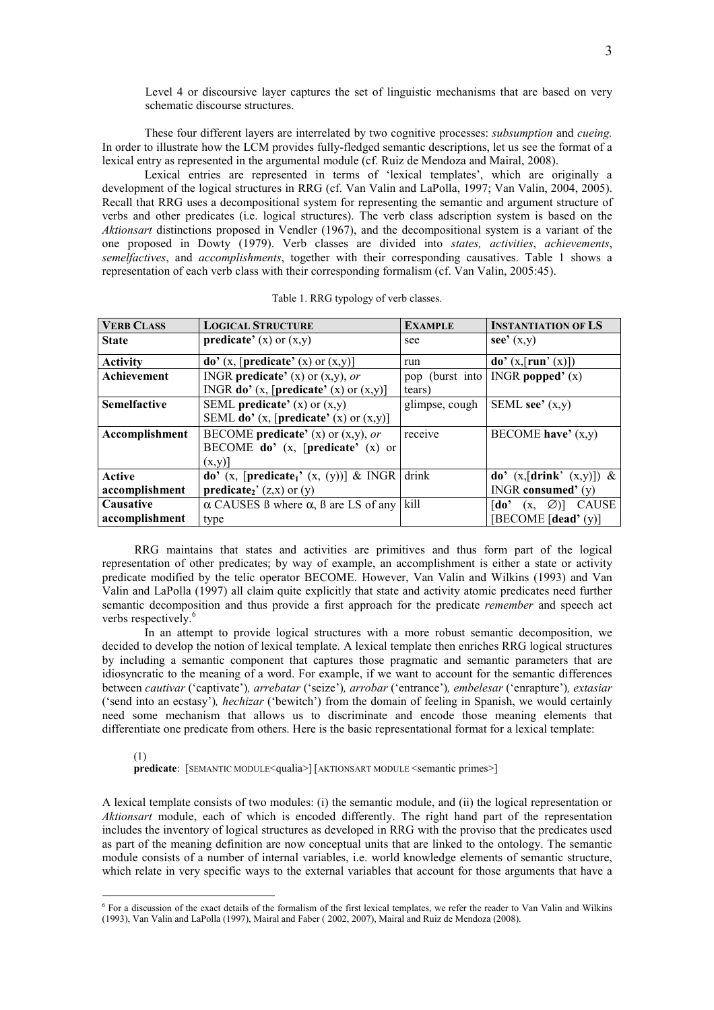Level 4 or discoursive layer captures the set of linguistic mechanisms that are based on very schematic discourse structures.

These four different layers are interrelated by two cognitive processes: subsumption and cueing. In order to illustrate how the LCM provides fully-fledged semantic descriptions, let us see the format of a lexical entry as represented in the argumental module (cf. Ruiz de Mendoza and Mairal, 2008).

Lexical entries are represented in terms of 'lexical templates', which are originally a development of the logical structures in RRG (cf. Van Valin and LaPolla, 1997; Van Valin, 2004, 2005). Recall that RRG uses a decompositional system for representing the semantic and argument structure of verbs and other predicates (i.e. logical structures). The verb class adscription system is based on the Aktionsart distinctions proposed in Vendler (1967), and the decompositional system is a variant of the one proposed in Dowty (1979). Verb classes are divided into states, activities, achievements, semelfactives, and accomplishments, together with their corresponding causatives. Table 1 shows a representation of each verb class with their corresponding formalism (cf. Van Valin, 2005:45).

| <b>VERB CLASS</b>   | <b>LOGICAL STRUCTURE</b>                                  | <b>EXAMPLE</b> | <b>INSTANTIATION OF LS</b>                        |
|---------------------|-----------------------------------------------------------|----------------|---------------------------------------------------|
| <b>State</b>        | <b>predicate'</b> (x) or $(x,y)$                          | see            | $\sec^2(x, y)$                                    |
| <b>Activity</b>     | $\mathbf{do}'$ (x, [predicate' (x) or (x,y)]              | run            | $\textbf{do'}(x, \lceil \textbf{run'}(x) \rceil)$ |
| Achievement         | INGR <b>predicate'</b> (x) or $(x, y)$ , or               |                | pop (burst into   INGR <b>popped'</b> $(x)$       |
|                     | INGR <b>do'</b> (x, [ <b>predicate'</b> (x) or $(x, y)$ ] | tears)         |                                                   |
| <b>Semelfactive</b> | SEML <b>predicate'</b> (x) or $(x, y)$                    | glimpse, cough | SEML see' $(x,y)$                                 |
|                     | SEML do' $(x,$ [predicate' $(x)$ or $(x,y)$ ]             |                |                                                   |
| Accomplishment      | BECOME predicate' (x) or $(x,y)$ , or                     | receive        | BECOME have' $(x,y)$                              |
|                     | BECOME do' (x, [predicate' (x) or                         |                |                                                   |
|                     | (x,y)                                                     |                |                                                   |
| Active              | do' (x, [predicate <sub>1</sub> ' (x, (y))] & INGR drink  |                | do' $(x,[drink' (x,y)])$ &                        |
| accomplishment      | <b>predicate</b> <sub>2</sub> ' (z,x) or (y)              |                | INGR consumed' $(y)$                              |
| Causative           | $\alpha$ CAUSES B where $\alpha$ , B are LS of any        | kill           | <b>CAUSE</b><br>[do'<br>$\varnothing$ ]<br>(X,    |
| accomplishment      | type                                                      |                | [BECOME $\lceil \text{dead'}(y) \rceil$           |

RRG maintains that states and activities are primitives and thus form part of the logical representation of other predicates; by way of example, an accomplishment is either a state or activity predicate modified by the telic operator BECOME. However, Van Valin and Wilkins (1993) and Van Valin and LaPolla (1997) all claim quite explicitly that state and activity atomic predicates need further semantic decomposition and thus provide a first approach for the predicate remember and speech act verbs respectively.<sup>6</sup>

In an attempt to provide logical structures with a more robust semantic decomposition, we decided to develop the notion of lexical template. A lexical template then enriches RRG logical structures by including a semantic component that captures those pragmatic and semantic parameters that are idiosyncratic to the meaning of a word. For example, if we want to account for the semantic differences between cautivar ('captivate'), arrebatar ('seize'), arrobar ('entrance'), embelesar ('enrapture'), extasiar ('send into an ecstasy'), hechizar ('bewitch') from the domain of feeling in Spanish, we would certainly need some mechanism that allows us to discriminate and encode those meaning elements that differentiate one predicate from others. Here is the basic representational format for a lexical template:

### (1) predicate: [SEMANTIC MODULE<qualia>] [AKTIONSART MODULE <semantic primes>]

 $\overline{a}$ 

A lexical template consists of two modules: (i) the semantic module, and (ii) the logical representation or Aktionsart module, each of which is encoded differently. The right hand part of the representation includes the inventory of logical structures as developed in RRG with the proviso that the predicates used as part of the meaning definition are now conceptual units that are linked to the ontology. The semantic module consists of a number of internal variables, i.e. world knowledge elements of semantic structure, which relate in very specific ways to the external variables that account for those arguments that have a

<sup>&</sup>lt;sup>6</sup> For a discussion of the exact details of the formalism of the first lexical templates, we refer the reader to Van Valin and Wilkins (1993), Van Valin and LaPolla (1997), Mairal and Faber ( 2002, 2007), Mairal and Ruiz de Mendoza (2008).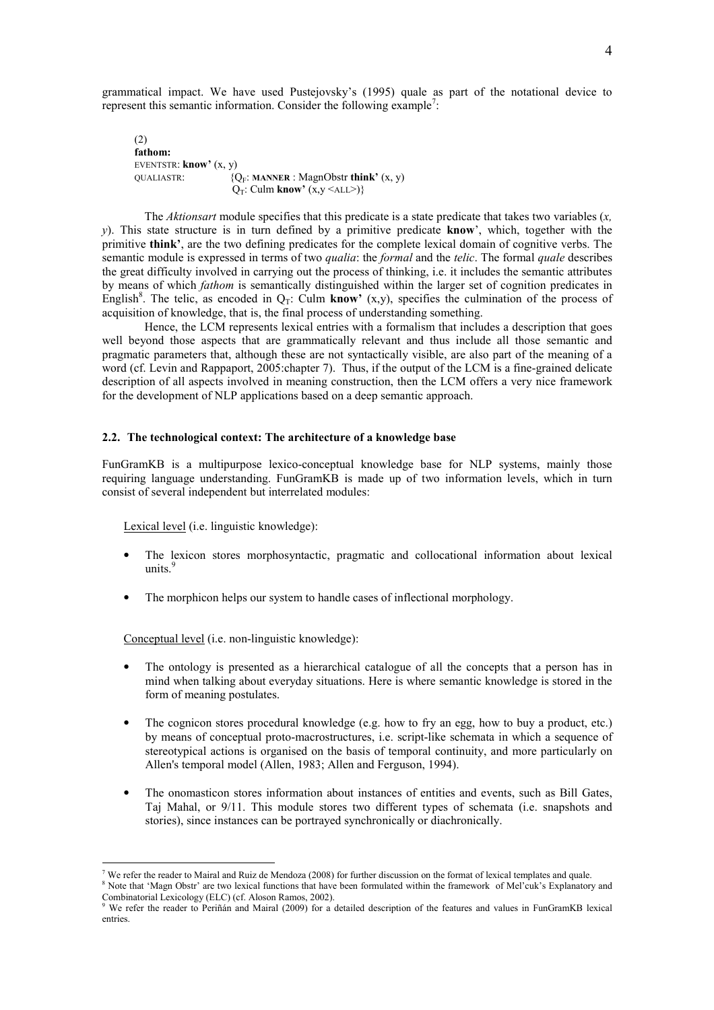grammatical impact. We have used Pustejovsky's (1995) quale as part of the notational device to represent this semantic information. Consider the following example<sup>7</sup>:

(2) fathom: EVENTSTR: know' (x, y) QUALIASTR:  ${Q_F: MANNER : MagnObstr think'}(x, y)$  $Q_T$ : Culm know'  $(x, y \leq ALL$ >)}

The Aktionsart module specifies that this predicate is a state predicate that takes two variables  $(x,$ y). This state structure is in turn defined by a primitive predicate know', which, together with the primitive think', are the two defining predicates for the complete lexical domain of cognitive verbs. The semantic module is expressed in terms of two *qualia*: the *formal* and the *telic*. The formal *quale* describes the great difficulty involved in carrying out the process of thinking, i.e. it includes the semantic attributes by means of which fathom is semantically distinguished within the larger set of cognition predicates in English<sup>8</sup>. The telic, as encoded in  $Q_T$ : Culm know' (x,y), specifies the culmination of the process of acquisition of knowledge, that is, the final process of understanding something.

Hence, the LCM represents lexical entries with a formalism that includes a description that goes well beyond those aspects that are grammatically relevant and thus include all those semantic and pragmatic parameters that, although these are not syntactically visible, are also part of the meaning of a word (cf. Levin and Rappaport, 2005:chapter 7). Thus, if the output of the LCM is a fine-grained delicate description of all aspects involved in meaning construction, then the LCM offers a very nice framework for the development of NLP applications based on a deep semantic approach.

### 2.2. The technological context: The architecture of a knowledge base

FunGramKB is a multipurpose lexico-conceptual knowledge base for NLP systems, mainly those requiring language understanding. FunGramKB is made up of two information levels, which in turn consist of several independent but interrelated modules:

Lexical level (i.e. linguistic knowledge):

- The lexicon stores morphosyntactic, pragmatic and collocational information about lexical units.<sup>9</sup>
- The morphicon helps our system to handle cases of inflectional morphology.

Conceptual level (i.e. non-linguistic knowledge):

 $\overline{a}$ 

- The ontology is presented as a hierarchical catalogue of all the concepts that a person has in mind when talking about everyday situations. Here is where semantic knowledge is stored in the form of meaning postulates.
- The cognicon stores procedural knowledge (e.g. how to fry an egg, how to buy a product, etc.) by means of conceptual proto-macrostructures, i.e. script-like schemata in which a sequence of stereotypical actions is organised on the basis of temporal continuity, and more particularly on Allen's temporal model (Allen, 1983; Allen and Ferguson, 1994).
- The onomasticon stores information about instances of entities and events, such as Bill Gates, Taj Mahal, or 9/11. This module stores two different types of schemata (i.e. snapshots and stories), since instances can be portrayed synchronically or diachronically.

<sup>7</sup> We refer the reader to Mairal and Ruiz de Mendoza (2008) for further discussion on the format of lexical templates and quale.

<sup>&</sup>lt;sup>8</sup> Note that 'Magn Obstr' are two lexical functions that have been formulated within the framework of Mel'cuk's Explanatory and Combinatorial Lexicology (ELC) (cf. Aloson Ramos, 2002).<br><sup>9</sup> We refer the reader to Periñán and Mairal (2009) for a detailed description of the features and values in FunGramKB lexical

entries.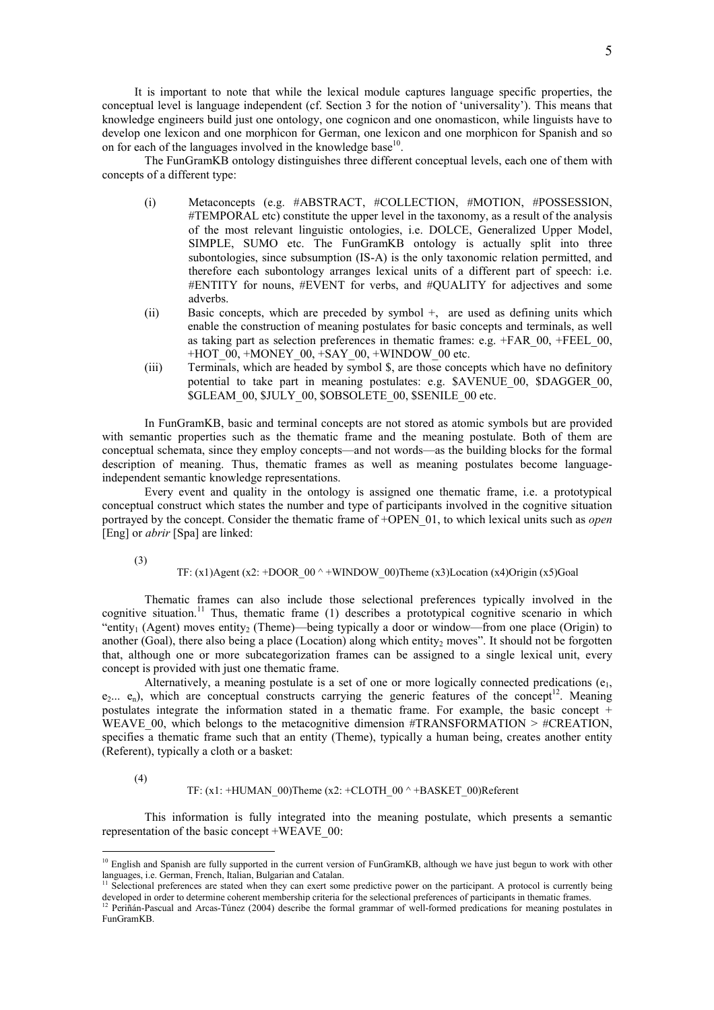It is important to note that while the lexical module captures language specific properties, the conceptual level is language independent (cf. Section 3 for the notion of 'universality'). This means that knowledge engineers build just one ontology, one cognicon and one onomasticon, while linguists have to develop one lexicon and one morphicon for German, one lexicon and one morphicon for Spanish and so on for each of the languages involved in the knowledge base $10$ .

 The FunGramKB ontology distinguishes three different conceptual levels, each one of them with concepts of a different type:

- (i) Metaconcepts (e.g. #ABSTRACT, #COLLECTION, #MOTION, #POSSESSION, #TEMPORAL etc) constitute the upper level in the taxonomy, as a result of the analysis of the most relevant linguistic ontologies, i.e. DOLCE, Generalized Upper Model, SIMPLE, SUMO etc. The FunGramKB ontology is actually split into three subontologies, since subsumption (IS-A) is the only taxonomic relation permitted, and therefore each subontology arranges lexical units of a different part of speech: i.e. #ENTITY for nouns, #EVENT for verbs, and #QUALITY for adjectives and some adverbs.
- (ii) Basic concepts, which are preceded by symbol +, are used as defining units which enable the construction of meaning postulates for basic concepts and terminals, as well as taking part as selection preferences in thematic frames: e.g.  $+FAR$  00,  $+FEEL$  00, +HOT $\,$  00, +MONEY $\,$  00, +SAY $\,$  00, +WINDOW $\,$  00 etc.
- (iii) Terminals, which are headed by symbol \$, are those concepts which have no definitory potential to take part in meaning postulates: e.g. \$AVENUE\_00, \$DAGGER\_00, \$GLEAM\_00, \$JULY\_00, \$OBSOLETE\_00, \$SENILE\_00 etc.

In FunGramKB, basic and terminal concepts are not stored as atomic symbols but are provided with semantic properties such as the thematic frame and the meaning postulate. Both of them are conceptual schemata, since they employ concepts—and not words—as the building blocks for the formal description of meaning. Thus, thematic frames as well as meaning postulates become languageindependent semantic knowledge representations.

Every event and quality in the ontology is assigned one thematic frame, i.e. a prototypical conceptual construct which states the number and type of participants involved in the cognitive situation portrayed by the concept. Consider the thematic frame of +OPEN\_01, to which lexical units such as *open* [Eng] or *abrir* [Spa] are linked:

(3)

# TF:  $(x1)$ Agent  $(x2: +DOOR_00^+ + WINDOW_00)$ Theme  $(x3)$ Location  $(x4)$ Origin  $(x5)$ Goal

Thematic frames can also include those selectional preferences typically involved in the cognitive situation.<sup>11</sup> Thus, thematic frame (1) describes a prototypical cognitive scenario in which "entity<sub>1</sub> (Agent) moves entity<sub>2</sub> (Theme)—being typically a door or window—from one place (Origin) to another (Goal), there also being a place (Location) along which entity<sub>2</sub> moves". It should not be forgotten that, although one or more subcategorization frames can be assigned to a single lexical unit, every concept is provided with just one thematic frame.

Alternatively, a meaning postulate is a set of one or more logically connected predications  $(e_1, e_2)$  $e_2... e_n$ ), which are conceptual constructs carrying the generic features of the concept<sup>12</sup>. Meaning postulates integrate the information stated in a thematic frame. For example, the basic concept + WEAVE 00, which belongs to the metacognitive dimension #TRANSFORMATION  $>$  #CREATION, specifies a thematic frame such that an entity (Theme), typically a human being, creates another entity (Referent), typically a cloth or a basket:

(4)

 $\overline{a}$ 

#### TF:  $(x1: +HUMAN_00)$ Theme  $(x2: +CLOTH_00^+ +BASKET_00)$ Referent

This information is fully integrated into the meaning postulate, which presents a semantic representation of the basic concept +WEAVE\_00:

 $10$  English and Spanish are fully supported in the current version of FunGramKB, although we have just begun to work with other languages, i.e. German, French, Italian, Bulgarian and Catalan.

<sup>&</sup>lt;sup>11</sup> Selectional preferences are stated when they can exert some predictive power on the participant. A protocol is currently being developed in order to determine coherent membership criteria for the selectional preferences of participants in thematic frames.

 $12$  Periñán-Pascual and Arcas-Túnez (2004) describe the formal grammar of well-formed predications for meaning postulates in FunGramKB.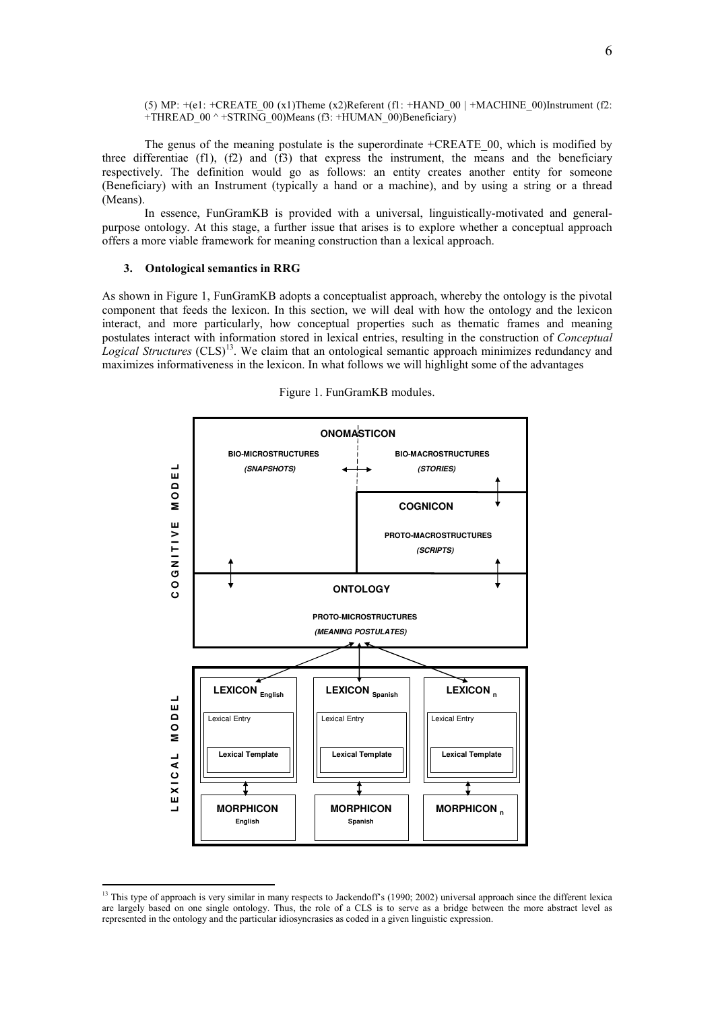(5) MP:  $+(e1: +CREATE 00 (x1)$ Theme (x2)Referent (f1:  $+HAND 00$  |  $+MACHINE 00)$ Instrument (f2: +THREAD\_00 ^ +STRING\_00)Means (f3: +HUMAN\_00)Beneficiary)

 The genus of the meaning postulate is the superordinate +CREATE\_00, which is modified by three differentiae (f1), (f2) and (f3) that express the instrument, the means and the beneficiary respectively. The definition would go as follows: an entity creates another entity for someone (Beneficiary) with an Instrument (typically a hand or a machine), and by using a string or a thread (Means).

In essence, FunGramKB is provided with a universal, linguistically-motivated and generalpurpose ontology. At this stage, a further issue that arises is to explore whether a conceptual approach offers a more viable framework for meaning construction than a lexical approach.

# 3. Ontological semantics in RRG

 $\overline{a}$ 

As shown in Figure 1, FunGramKB adopts a conceptualist approach, whereby the ontology is the pivotal component that feeds the lexicon. In this section, we will deal with how the ontology and the lexicon interact, and more particularly, how conceptual properties such as thematic frames and meaning postulates interact with information stored in lexical entries, resulting in the construction of Conceptual Logical Structures  $(CLS)^{13}$ . We claim that an ontological semantic approach minimizes redundancy and maximizes informativeness in the lexicon. In what follows we will highlight some of the advantages



Figure 1. FunGramKB modules.

<sup>&</sup>lt;sup>13</sup> This type of approach is very similar in many respects to Jackendoff's (1990; 2002) universal approach since the different lexica are largely based on one single ontology. Thus, the role of a CLS is to serve as a bridge between the more abstract level as represented in the ontology and the particular idiosyncrasies as coded in a given linguistic expression.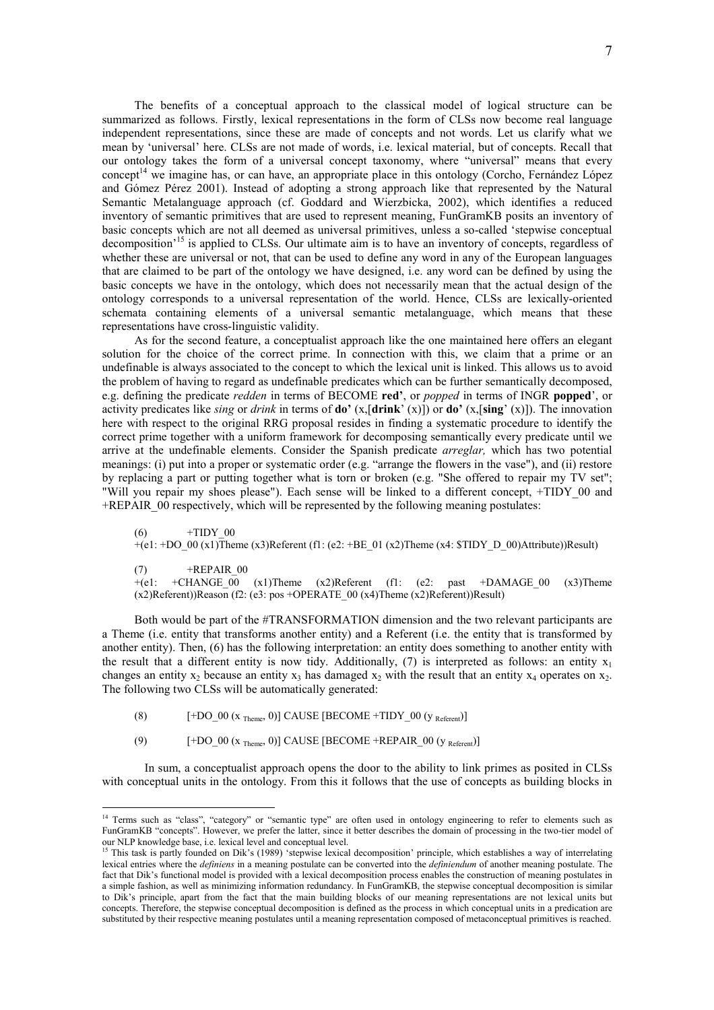The benefits of a conceptual approach to the classical model of logical structure can be summarized as follows. Firstly, lexical representations in the form of CLSs now become real language independent representations, since these are made of concepts and not words. Let us clarify what we mean by 'universal' here. CLSs are not made of words, i.e. lexical material, but of concepts. Recall that our ontology takes the form of a universal concept taxonomy, where "universal" means that every concept<sup>14</sup> we imagine has, or can have, an appropriate place in this ontology (Corcho, Fernández López and Gómez Pérez 2001). Instead of adopting a strong approach like that represented by the Natural Semantic Metalanguage approach (cf. Goddard and Wierzbicka, 2002), which identifies a reduced inventory of semantic primitives that are used to represent meaning, FunGramKB posits an inventory of basic concepts which are not all deemed as universal primitives, unless a so-called 'stepwise conceptual decomposition<sup>'15</sup> is applied to CLSs. Our ultimate aim is to have an inventory of concepts, regardless of whether these are universal or not, that can be used to define any word in any of the European languages that are claimed to be part of the ontology we have designed, i.e. any word can be defined by using the basic concepts we have in the ontology, which does not necessarily mean that the actual design of the ontology corresponds to a universal representation of the world. Hence, CLSs are lexically-oriented schemata containing elements of a universal semantic metalanguage, which means that these representations have cross-linguistic validity.

As for the second feature, a conceptualist approach like the one maintained here offers an elegant solution for the choice of the correct prime. In connection with this, we claim that a prime or an undefinable is always associated to the concept to which the lexical unit is linked. This allows us to avoid the problem of having to regard as undefinable predicates which can be further semantically decomposed, e.g. defining the predicate *redden* in terms of BECOME red', or *popped* in terms of INGR **popped**', or activity predicates like *sing* or *drink* in terms of **do'**  $(x,[drink' (x)])$  or **do'**  $(x,[sing' (x)])$ . The innovation here with respect to the original RRG proposal resides in finding a systematic procedure to identify the correct prime together with a uniform framework for decomposing semantically every predicate until we arrive at the undefinable elements. Consider the Spanish predicate arreglar, which has two potential meanings: (i) put into a proper or systematic order (e.g. "arrange the flowers in the vase"), and (ii) restore by replacing a part or putting together what is torn or broken (e.g. "She offered to repair my TV set"; "Will you repair my shoes please"). Each sense will be linked to a different concept, +TIDY\_00 and +REPAIR\_00 respectively, which will be represented by the following meaning postulates:

 $(6)$  +TIDY 00  $+(e1: +DO_00 (x1)$ Theme  $(x3)$ Referent (f1: (e2:  $+BE_01 (x2)$ Theme (x4: \$TIDY D\_00)Attribute))Result)

(7)  $+REPAIR_00$ <br>+(e1:  $+CHANGE_00$ +CHANGE  $\overline{00}$  (x1)Theme (x2)Referent (f1: (e2: past +DAMAGE 00 (x3)Theme  $(x2)$ Referent))Reason (f2: (e3: pos +OPERATE 00 (x4)Theme (x2)Referent))Result)

Both would be part of the #TRANSFORMATION dimension and the two relevant participants are a Theme (i.e. entity that transforms another entity) and a Referent (i.e. the entity that is transformed by another entity). Then, (6) has the following interpretation: an entity does something to another entity with the result that a different entity is now tidy. Additionally, (7) is interpreted as follows: an entity  $x_1$ changes an entity  $x_2$  because an entity  $x_3$  has damaged  $x_2$  with the result that an entity  $x_4$  operates on  $x_2$ . The following two CLSs will be automatically generated:

(8)  $[-DO_0 (x_{Theme}, 0)]$  CAUSE  $[BECOME + TIDY_00 (y_{Referent})]$ 

 $\overline{a}$ 

(9)  $[-\text{DO } 00 \text{ (x }_{\text{Theme}}, 0)] \text{ CAUSE } [\text{BECOME } + \text{REPAIR} \text{ } 00 \text{ (y }_{\text{Refarent}})]$ 

 In sum, a conceptualist approach opens the door to the ability to link primes as posited in CLSs with conceptual units in the ontology. From this it follows that the use of concepts as building blocks in

<sup>&</sup>lt;sup>14</sup> Terms such as "class", "category" or "semantic type" are often used in ontology engineering to refer to elements such as FunGramKB "concepts". However, we prefer the latter, since it better describes the domain of processing in the two-tier model of our NLP knowledge base, i.e. lexical level and conceptual level.<br><sup>15</sup> This teal is a conceptual level and conceptual level.

<sup>15</sup> This task is partly founded on Dik's (1989) 'stepwise lexical decomposition' principle, which establishes a way of interrelating lexical entries where the definiens in a meaning postulate can be converted into the definiendum of another meaning postulate. The fact that Dik's functional model is provided with a lexical decomposition process enables the construction of meaning postulates in a simple fashion, as well as minimizing information redundancy. In FunGramKB, the stepwise conceptual decomposition is similar to Dik's principle, apart from the fact that the main building blocks of our meaning representations are not lexical units but concepts. Therefore, the stepwise conceptual decomposition is defined as the process in which conceptual units in a predication are substituted by their respective meaning postulates until a meaning representation composed of metaconceptual primitives is reached.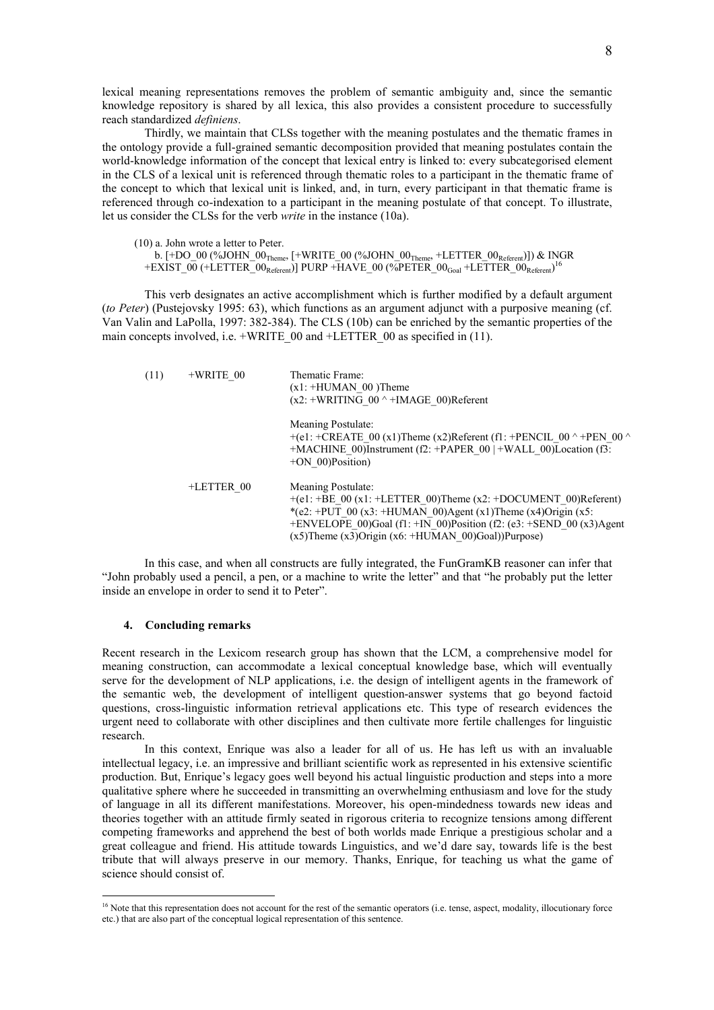lexical meaning representations removes the problem of semantic ambiguity and, since the semantic knowledge repository is shared by all lexica, this also provides a consistent procedure to successfully reach standardized definiens.

Thirdly, we maintain that CLSs together with the meaning postulates and the thematic frames in the ontology provide a full-grained semantic decomposition provided that meaning postulates contain the world-knowledge information of the concept that lexical entry is linked to: every subcategorised element in the CLS of a lexical unit is referenced through thematic roles to a participant in the thematic frame of the concept to which that lexical unit is linked, and, in turn, every participant in that thematic frame is referenced through co-indexation to a participant in the meaning postulate of that concept. To illustrate, let us consider the CLSs for the verb write in the instance (10a).

(10) a. John wrote a letter to Peter. b.  $[+DO_00$  (%JOHN\_00<sub>Theme</sub>,  $[+WRITE_00$  (%JOHN\_00<sub>Theme</sub>, +LETTER\_00<sub>Referent</sub>)]) & INGR  $+{\rm EXIST\_0\overline{0}}$  (+LETTER\_00<sub>Referent</sub>)] PURP +HAVE\_00 (%PETER\_00<sub>Goal</sub> +LETTER\_00<sub>Referent</sub>)<sup>16</sup>

This verb designates an active accomplishment which is further modified by a default argument (to Peter) (Pustejovsky 1995: 63), which functions as an argument adjunct with a purposive meaning (cf. Van Valin and LaPolla, 1997: 382-384). The CLS (10b) can be enriched by the semantic properties of the main concepts involved, i.e.  $+$ WRITE 00 and  $+$ LETTER 00 as specified in (11).

| (11) | $+WRITE$ 00 | Thematic Frame:<br>$(x1: +HUMAN 00)$ Theme<br>$(x2: +WRITING 00^+ +IMAGE 00)$ Referent                                                                                                                                                                                                       |  |
|------|-------------|----------------------------------------------------------------------------------------------------------------------------------------------------------------------------------------------------------------------------------------------------------------------------------------------|--|
|      |             | Meaning Postulate:<br>+(e1: +CREATE 00 (x1)Theme (x2)Referent (f1: +PENCIL 00 $\land$ +PEN 00 $\land$<br>+MACHINE 00)Instrument (f2: +PAPER $00$   +WALL 00)Location (f3:<br>$+ON$ 00)Position)                                                                                              |  |
|      | +LETTER 00  | Meaning Postulate:<br>$+(e1: +BE 00(x1: +LETTER 00)$ Theme (x2: +DOCUMENT 00)Referent)<br>*(e2: +PUT 00 (x3: +HUMAN 00)Agent (x1)Theme (x4)Origin (x5:<br>+ENVELOPE 00)Goal (f1: +IN 00)Position (f2: (e3: +SEND 00 (x3)Agent<br>$(x5)$ Theme $(x3)$ Origin $(x6: +HUMAN 00)$ Goal))Purpose) |  |

In this case, and when all constructs are fully integrated, the FunGramKB reasoner can infer that "John probably used a pencil, a pen, or a machine to write the letter" and that "he probably put the letter inside an envelope in order to send it to Peter".

#### 4. Concluding remarks

 $\overline{a}$ 

Recent research in the Lexicom research group has shown that the LCM, a comprehensive model for meaning construction, can accommodate a lexical conceptual knowledge base, which will eventually serve for the development of NLP applications, i.e. the design of intelligent agents in the framework of the semantic web, the development of intelligent question-answer systems that go beyond factoid questions, cross-linguistic information retrieval applications etc. This type of research evidences the urgent need to collaborate with other disciplines and then cultivate more fertile challenges for linguistic research.

 In this context, Enrique was also a leader for all of us. He has left us with an invaluable intellectual legacy, i.e. an impressive and brilliant scientific work as represented in his extensive scientific production. But, Enrique's legacy goes well beyond his actual linguistic production and steps into a more qualitative sphere where he succeeded in transmitting an overwhelming enthusiasm and love for the study of language in all its different manifestations. Moreover, his open-mindedness towards new ideas and theories together with an attitude firmly seated in rigorous criteria to recognize tensions among different competing frameworks and apprehend the best of both worlds made Enrique a prestigious scholar and a great colleague and friend. His attitude towards Linguistics, and we'd dare say, towards life is the best tribute that will always preserve in our memory. Thanks, Enrique, for teaching us what the game of science should consist of.

<sup>&</sup>lt;sup>16</sup> Note that this representation does not account for the rest of the semantic operators (i.e. tense, aspect, modality, illocutionary force etc.) that are also part of the conceptual logical representation of this sentence.